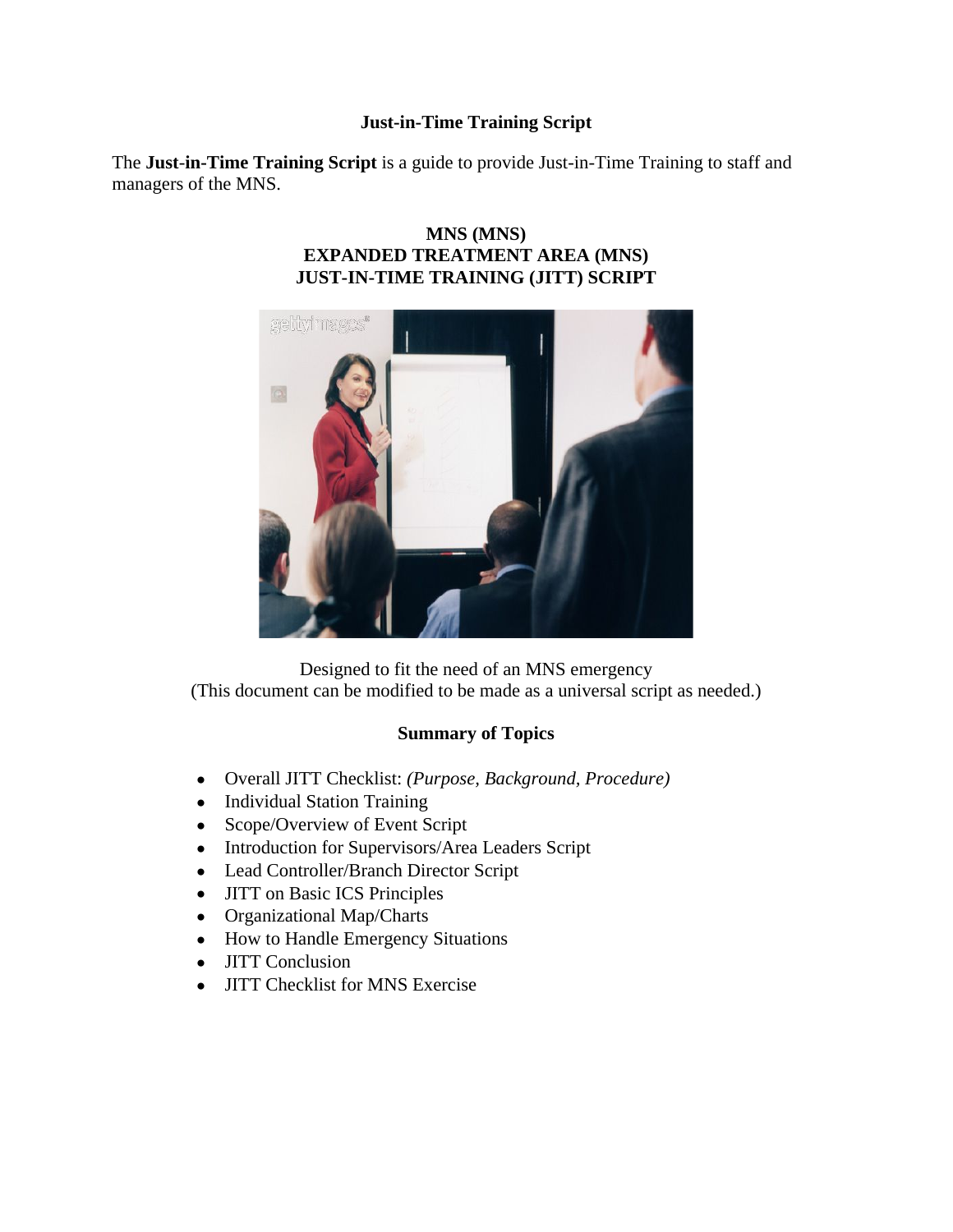## **Just-in-Time Training Script**

The **Just**-**in-Time Training Script** is a guide to provide Just-in-Time Training to staff and managers of the MNS.

# **MNS (MNS) EXPANDED TREATMENT AREA (MNS) JUST-IN-TIME TRAINING (JITT) SCRIPT**



Designed to fit the need of an MNS emergency (This document can be modified to be made as a universal script as needed.)

# **Summary of Topics**

- Overall JITT Checklist: *(Purpose, Background, Procedure)*
- Individual Station Training
- Scope/Overview of Event Script
- Introduction for Supervisors/Area Leaders Script
- Lead Controller/Branch Director Script
- JITT on Basic ICS Principles
- Organizational Map/Charts
- How to Handle Emergency Situations
- **JITT** Conclusion
- JITT Checklist for MNS Exercise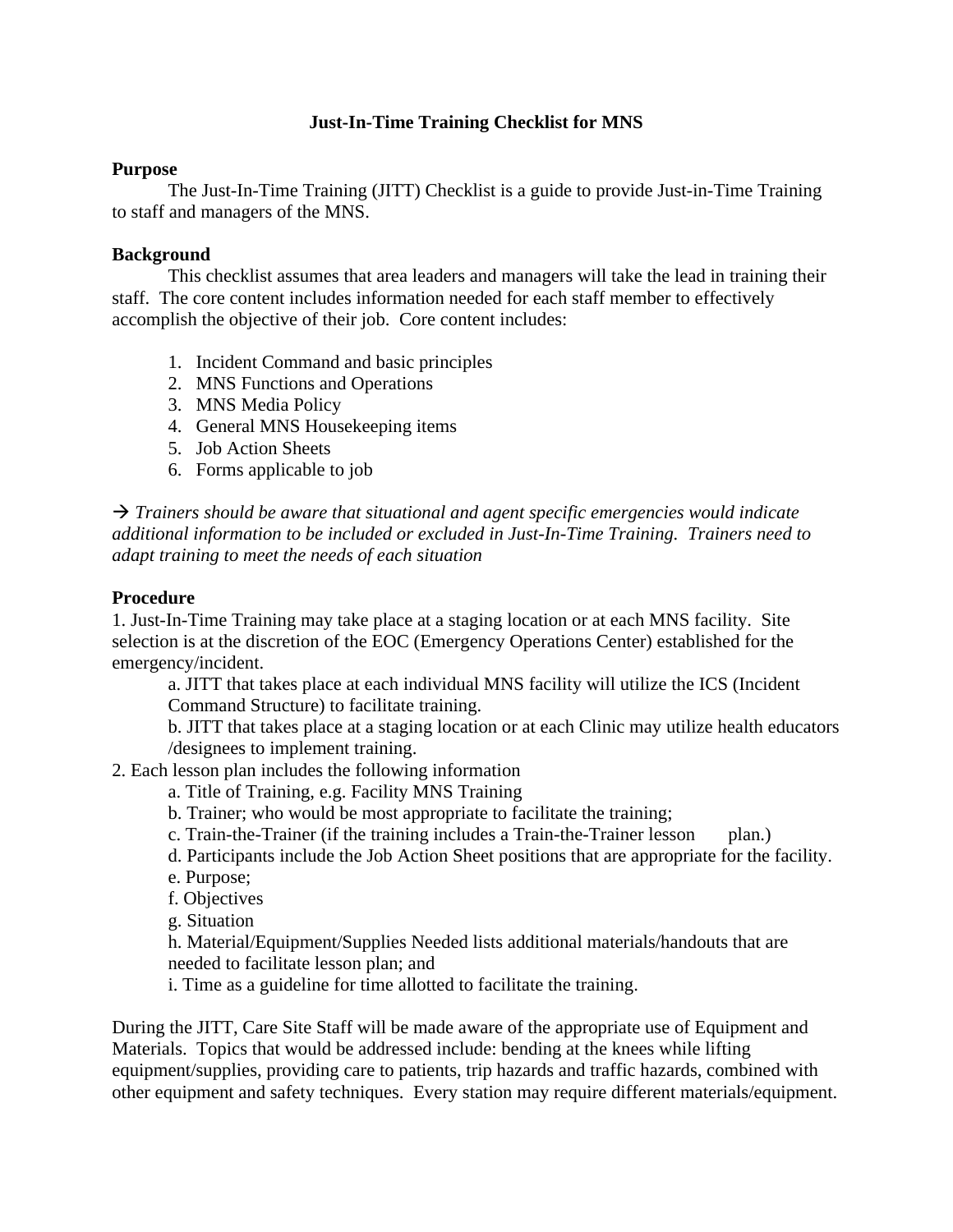## **Just-In-Time Training Checklist for MNS**

#### **Purpose**

The Just-In-Time Training (JITT) Checklist is a guide to provide Just-in-Time Training to staff and managers of the MNS.

#### **Background**

This checklist assumes that area leaders and managers will take the lead in training their staff. The core content includes information needed for each staff member to effectively accomplish the objective of their job. Core content includes:

- 1. Incident Command and basic principles
- 2. MNS Functions and Operations
- 3. MNS Media Policy
- 4. General MNS Housekeeping items
- 5. Job Action Sheets
- 6. Forms applicable to job

 $\rightarrow$  Trainers should be aware that situational and agent specific emergencies would indicate *additional information to be included or excluded in Just-In-Time Training. Trainers need to adapt training to meet the needs of each situation*

#### **Procedure**

1. Just-In-Time Training may take place at a staging location or at each MNS facility. Site selection is at the discretion of the EOC (Emergency Operations Center) established for the emergency/incident.

a. JITT that takes place at each individual MNS facility will utilize the ICS (Incident Command Structure) to facilitate training.

b. JITT that takes place at a staging location or at each Clinic may utilize health educators /designees to implement training.

- 2. Each lesson plan includes the following information
	- a. Title of Training, e.g. Facility MNS Training
	- b. Trainer; who would be most appropriate to facilitate the training;
	- c. Train-the-Trainer (if the training includes a Train-the-Trainer lesson plan.)
	- d. Participants include the Job Action Sheet positions that are appropriate for the facility.
	- e. Purpose;
	- f. Objectives
	- g. Situation
	- h. Material/Equipment/Supplies Needed lists additional materials/handouts that are needed to facilitate lesson plan; and
	- i. Time as a guideline for time allotted to facilitate the training.

During the JITT, Care Site Staff will be made aware of the appropriate use of Equipment and Materials. Topics that would be addressed include: bending at the knees while lifting equipment/supplies, providing care to patients, trip hazards and traffic hazards, combined with other equipment and safety techniques. Every station may require different materials/equipment.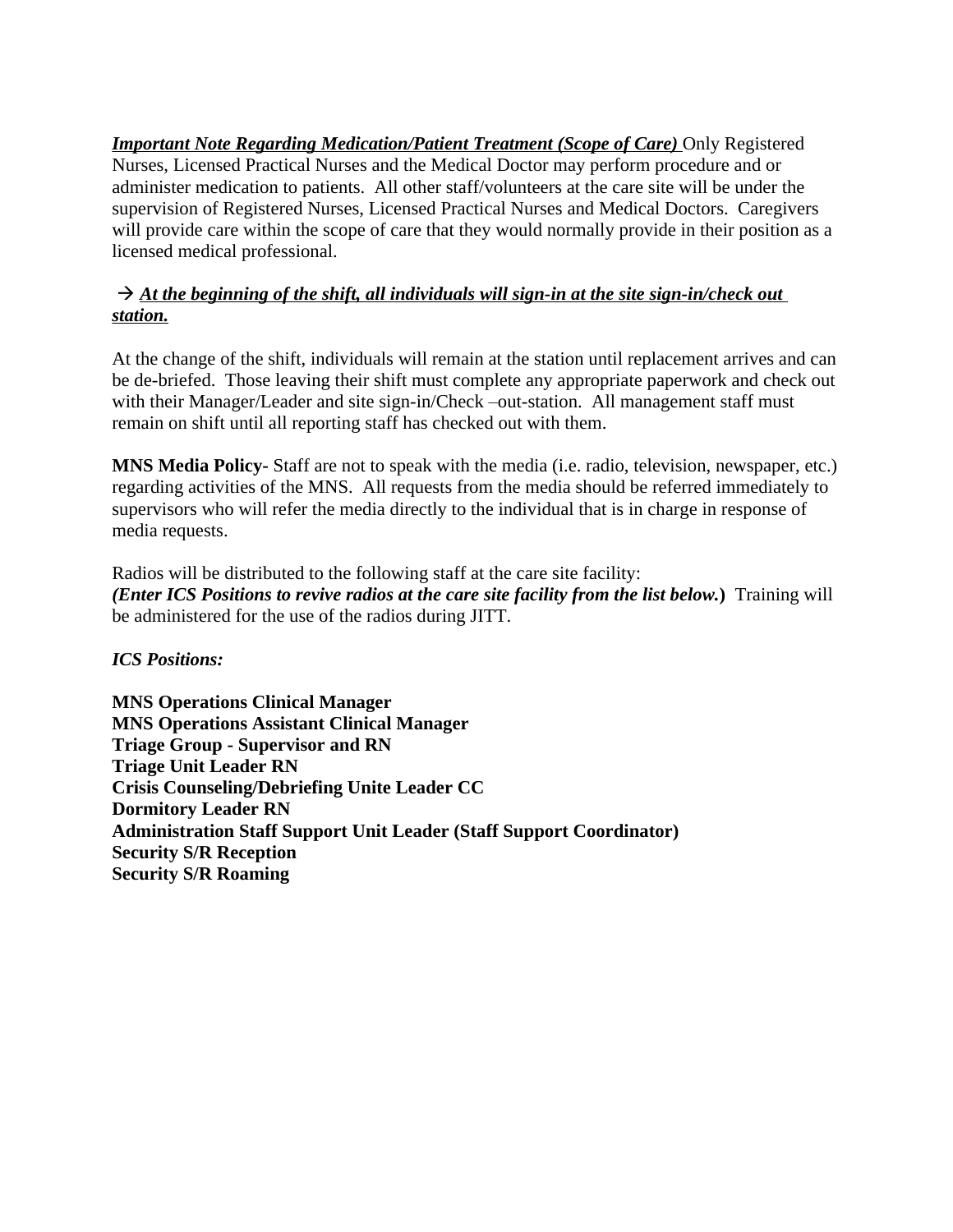*Important Note Regarding Medication/Patient Treatment (Scope of Care)* **Only Registered** Nurses, Licensed Practical Nurses and the Medical Doctor may perform procedure and or administer medication to patients. All other staff/volunteers at the care site will be under the supervision of Registered Nurses, Licensed Practical Nurses and Medical Doctors. Caregivers will provide care within the scope of care that they would normally provide in their position as a licensed medical professional.

# $\rightarrow$  At the beginning of the shift, all individuals will sign-in at the site sign-in/check out *station.*

At the change of the shift, individuals will remain at the station until replacement arrives and can be de-briefed. Those leaving their shift must complete any appropriate paperwork and check out with their Manager/Leader and site sign-in/Check –out-station. All management staff must remain on shift until all reporting staff has checked out with them.

**MNS Media Policy-** Staff are not to speak with the media (i.e. radio, television, newspaper, etc.) regarding activities of the MNS. All requests from the media should be referred immediately to supervisors who will refer the media directly to the individual that is in charge in response of media requests.

Radios will be distributed to the following staff at the care site facility: *(Enter ICS Positions to revive radios at the care site facility from the list below.***)** Training will be administered for the use of the radios during JITT.

*ICS Positions:*

**MNS Operations Clinical Manager MNS Operations Assistant Clinical Manager Triage Group - Supervisor and RN Triage Unit Leader RN Crisis Counseling/Debriefing Unite Leader CC Dormitory Leader RN Administration Staff Support Unit Leader (Staff Support Coordinator) Security S/R Reception Security S/R Roaming**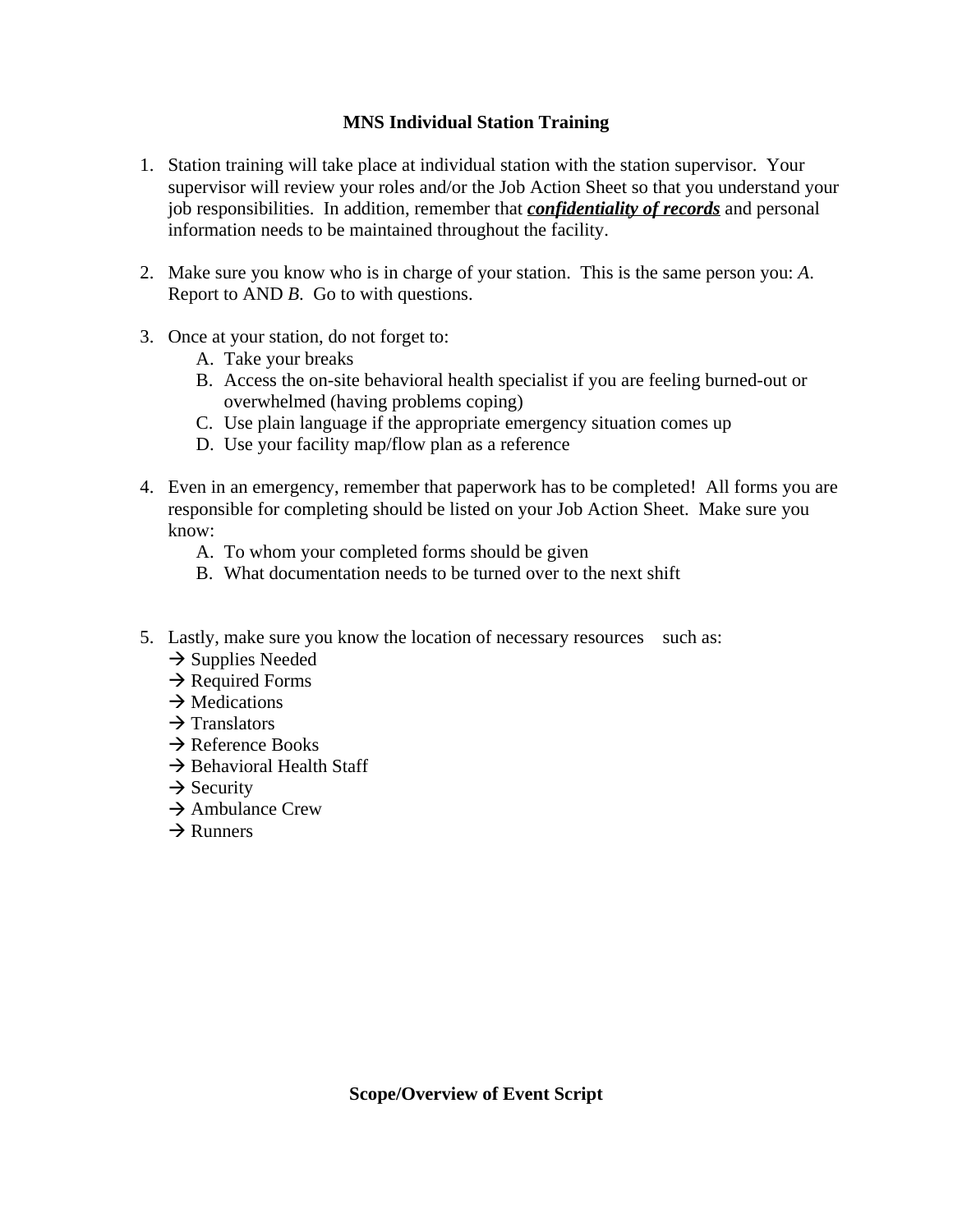# **MNS Individual Station Training**

- 1. Station training will take place at individual station with the station supervisor. Your supervisor will review your roles and/or the Job Action Sheet so that you understand your job responsibilities. In addition, remember that *confidentiality of records* and personal information needs to be maintained throughout the facility.
- 2. Make sure you know who is in charge of your station. This is the same person you: *A*. Report to AND *B*. Go to with questions.
- 3. Once at your station, do not forget to:
	- A. Take your breaks
	- B. Access the on-site behavioral health specialist if you are feeling burned-out or overwhelmed (having problems coping)
	- C. Use plain language if the appropriate emergency situation comes up
	- D. Use your facility map/flow plan as a reference
- 4. Even in an emergency, remember that paperwork has to be completed! All forms you are responsible for completing should be listed on your Job Action Sheet. Make sure you know:
	- A. To whom your completed forms should be given
	- B. What documentation needs to be turned over to the next shift
- 5. Lastly, make sure you know the location of necessary resources such as:
	- $\rightarrow$  Supplies Needed
	- $\rightarrow$  Required Forms
	- $\rightarrow$  Medications
	- $\rightarrow$  Translators
	- $\rightarrow$  Reference Books
	- $\rightarrow$  Behavioral Health Staff
	- $\rightarrow$  Security
	- $\rightarrow$  Ambulance Crew
	- $\rightarrow$  Runners

**Scope/Overview of Event Script**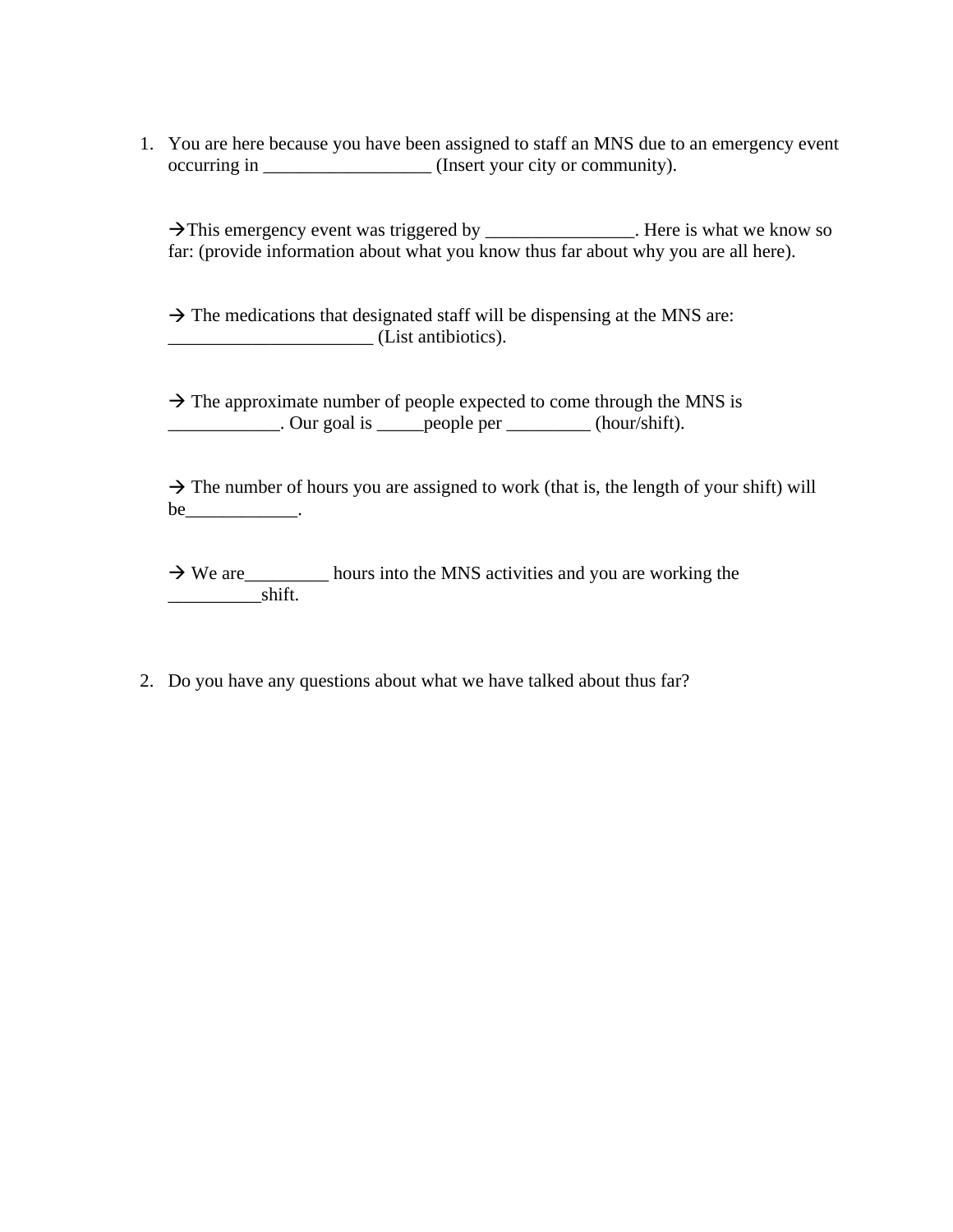1. You are here because you have been assigned to staff an MNS due to an emergency event occurring in \_\_\_\_\_\_\_\_\_\_\_\_\_\_\_\_\_\_ (Insert your city or community).

 $\rightarrow$ This emergency event was triggered by \_\_\_\_\_\_\_\_\_\_\_\_\_\_\_. Here is what we know so far: (provide information about what you know thus far about why you are all here).

 $\rightarrow$  The medications that designated staff will be dispensing at the MNS are: \_\_\_\_\_\_\_\_\_\_\_\_\_\_\_\_\_\_\_\_\_\_ (List antibiotics).

 $\rightarrow$  The approximate number of people expected to come through the MNS is  $\frac{1}{2}$  Our goal is <u>people per \_\_\_\_\_\_\_</u> (hour/shift).

 $\rightarrow$  The number of hours you are assigned to work (that is, the length of your shift) will  $be$   $\qquad \qquad$ 

 $\rightarrow$  We are <u>\_\_\_\_\_\_</u> hours into the MNS activities and you are working the \_\_\_\_\_\_\_\_\_\_shift.

2. Do you have any questions about what we have talked about thus far?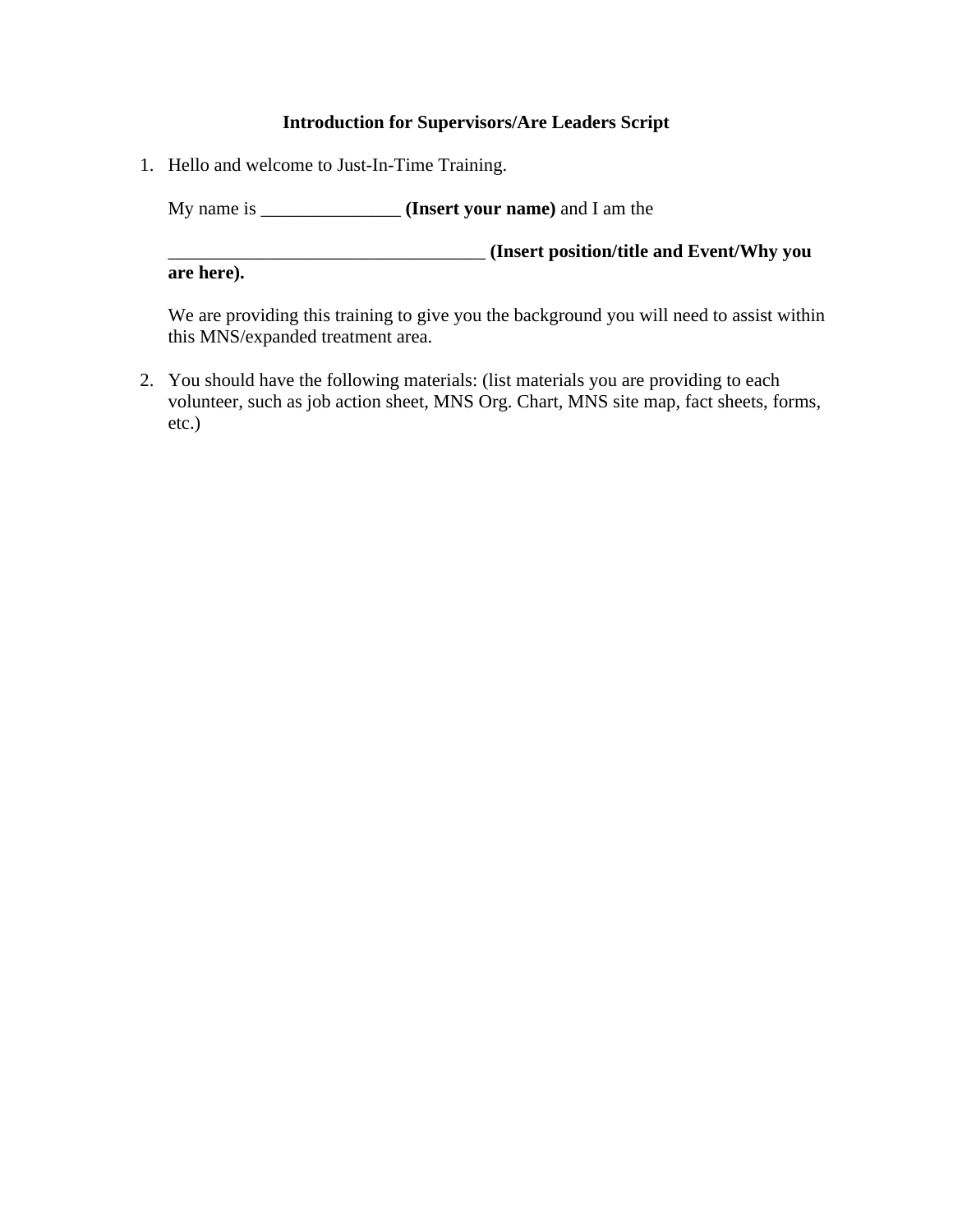#### **Introduction for Supervisors/Are Leaders Script**

1. Hello and welcome to Just-In-Time Training.

My name is \_\_\_\_\_\_\_\_\_\_\_\_\_\_\_ **(Insert your name)** and I am the

\_\_\_\_\_\_\_\_\_\_\_\_\_\_\_\_\_\_\_\_\_\_\_\_\_\_\_\_\_\_\_\_\_\_ **(Insert position/title and Event/Why you are here).** 

We are providing this training to give you the background you will need to assist within this MNS/expanded treatment area.

2. You should have the following materials: (list materials you are providing to each volunteer, such as job action sheet, MNS Org. Chart, MNS site map, fact sheets, forms, etc.)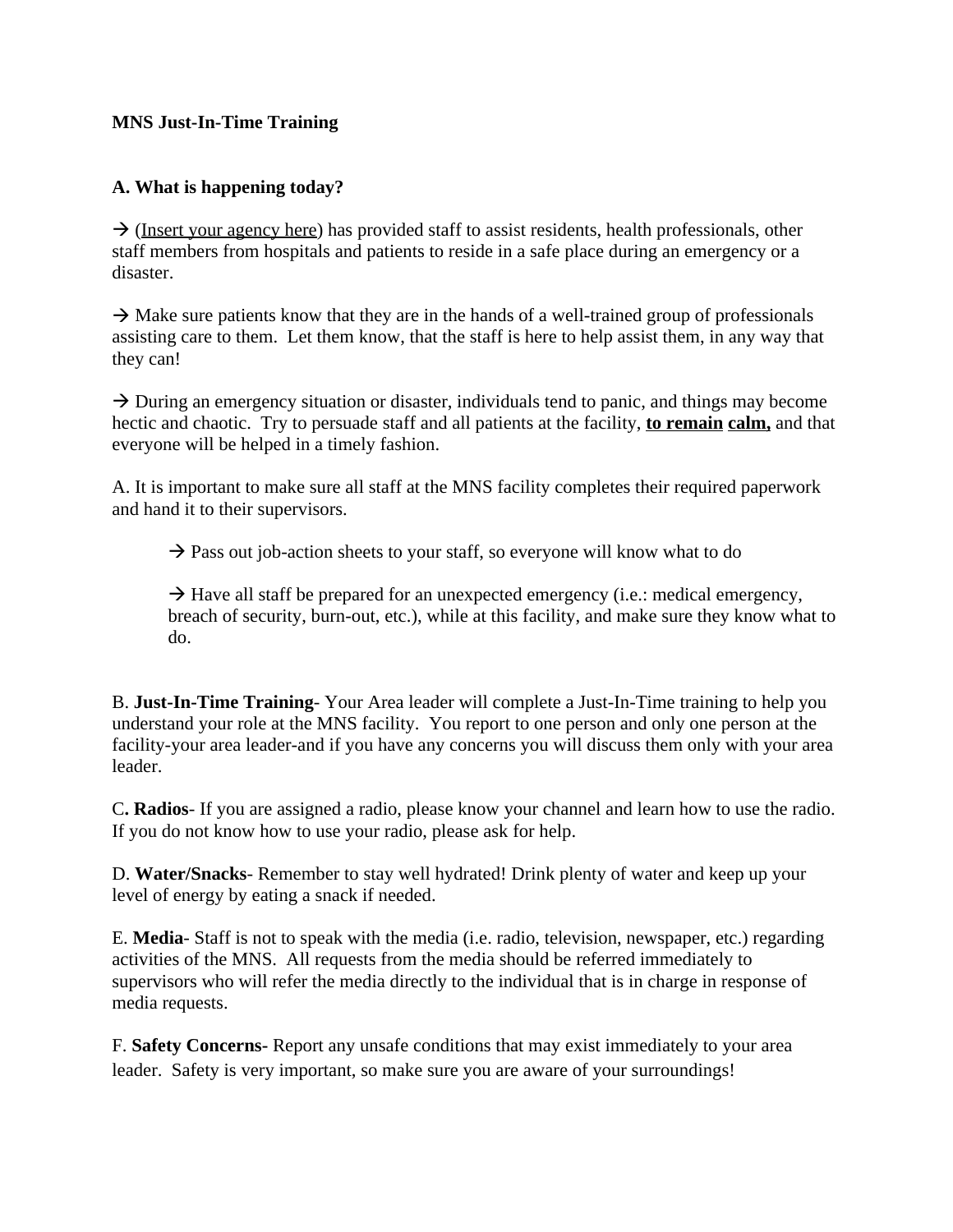## **MNS Just-In-Time Training**

# **A. What is happening today?**

 $\rightarrow$  (Insert your agency here) has provided staff to assist residents, health professionals, other staff members from hospitals and patients to reside in a safe place during an emergency or a disaster.

 $\rightarrow$  Make sure patients know that they are in the hands of a well-trained group of professionals assisting care to them. Let them know, that the staff is here to help assist them, in any way that they can!

 $\rightarrow$  During an emergency situation or disaster, individuals tend to panic, and things may become hectic and chaotic. Try to persuade staff and all patients at the facility, **to remain calm,** and that everyone will be helped in a timely fashion.

A. It is important to make sure all staff at the MNS facility completes their required paperwork and hand it to their supervisors.

 $\rightarrow$  Pass out job-action sheets to your staff, so everyone will know what to do

 $\rightarrow$  Have all staff be prepared for an unexpected emergency (i.e.: medical emergency, breach of security, burn-out, etc.), while at this facility, and make sure they know what to do.

B. **Just-In-Time Training**- Your Area leader will complete a Just-In-Time training to help you understand your role at the MNS facility. You report to one person and only one person at the facility-your area leader-and if you have any concerns you will discuss them only with your area leader.

C**. Radios**- If you are assigned a radio, please know your channel and learn how to use the radio. If you do not know how to use your radio, please ask for help.

D. **Water/Snacks**- Remember to stay well hydrated! Drink plenty of water and keep up your level of energy by eating a snack if needed.

E. **Media**- Staff is not to speak with the media (i.e. radio, television, newspaper, etc.) regarding activities of the MNS. All requests from the media should be referred immediately to supervisors who will refer the media directly to the individual that is in charge in response of media requests.

F. **Safety Concerns-** Report any unsafe conditions that may exist immediately to your area leader. Safety is very important, so make sure you are aware of your surroundings!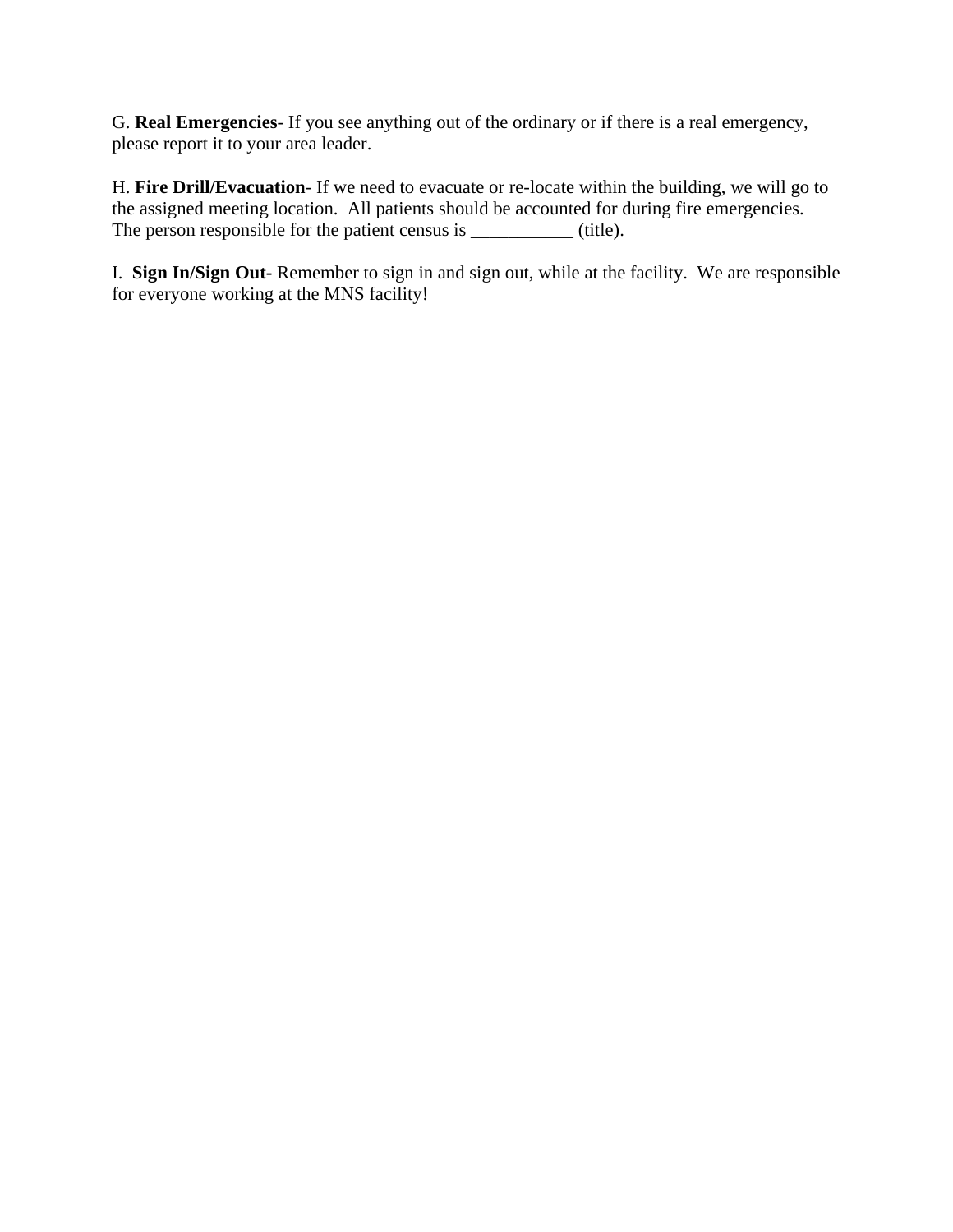G. **Real Emergencies**- If you see anything out of the ordinary or if there is a real emergency, please report it to your area leader.

H. **Fire Drill/Evacuation**- If we need to evacuate or re-locate within the building, we will go to the assigned meeting location. All patients should be accounted for during fire emergencies. The person responsible for the patient census is \_\_\_\_\_\_\_\_\_\_\_\_\_ (title).

I. **Sign In/Sign Out-** Remember to sign in and sign out, while at the facility. We are responsible for everyone working at the MNS facility!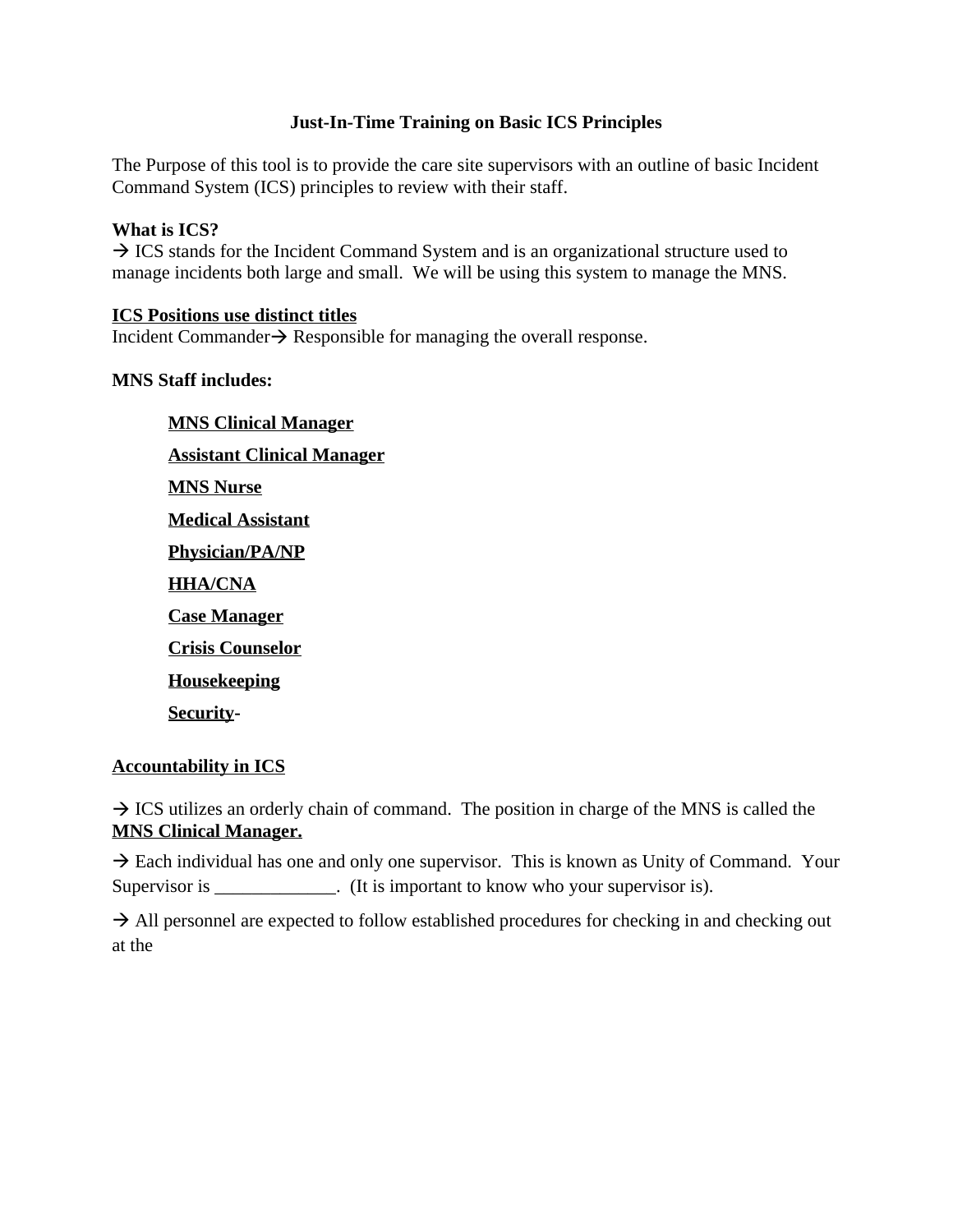## **Just-In-Time Training on Basic ICS Principles**

The Purpose of this tool is to provide the care site supervisors with an outline of basic Incident Command System (ICS) principles to review with their staff.

## **What is ICS?**

 $\rightarrow$  ICS stands for the Incident Command System and is an organizational structure used to manage incidents both large and small. We will be using this system to manage the MNS.

#### **ICS Positions use distinct titles**

Incident Commander $\rightarrow$  Responsible for managing the overall response.

## **MNS Staff includes:**

**MNS Clinical Manager Assistant Clinical Manager MNS Nurse Medical Assistant Physician/PA/NP HHA/CNA Case Manager Crisis Counselor Housekeeping Security-**

# **Accountability in ICS**

 $\rightarrow$  ICS utilizes an orderly chain of command. The position in charge of the MNS is called the **MNS Clinical Manager.**

 $\rightarrow$  Each individual has one and only one supervisor. This is known as Unity of Command. Your Supervisor is \_\_\_\_\_\_\_\_\_\_\_\_. (It is important to know who your supervisor is).

 $\rightarrow$  All personnel are expected to follow established procedures for checking in and checking out at the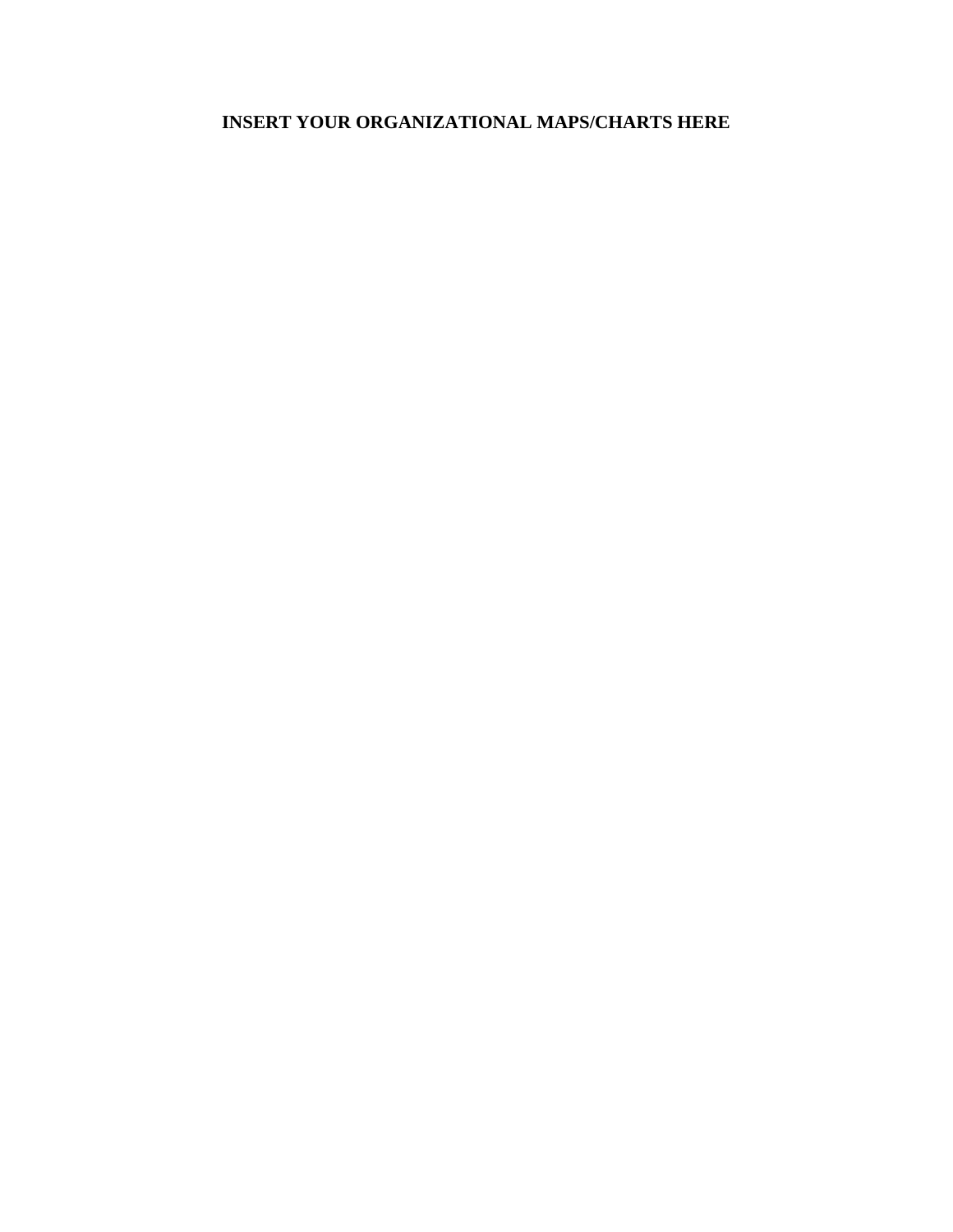# **INSERT YOUR ORGANIZATIONAL MAPS/CHARTS HERE**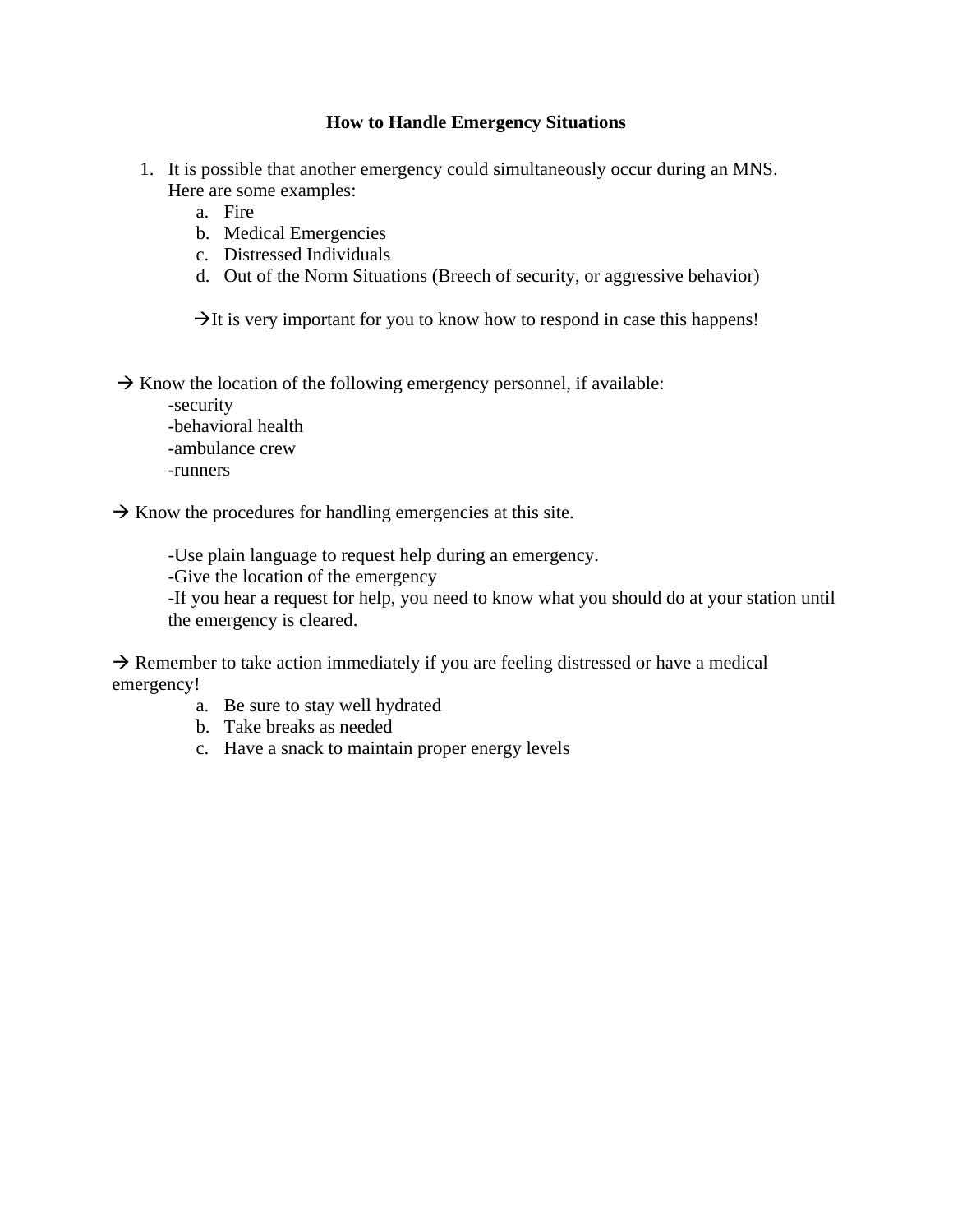#### **How to Handle Emergency Situations**

- 1. It is possible that another emergency could simultaneously occur during an MNS. Here are some examples:
	- a. Fire
	- b. Medical Emergencies
	- c. Distressed Individuals
	- d. Out of the Norm Situations (Breech of security, or aggressive behavior)

 $\rightarrow$ It is very important for you to know how to respond in case this happens!

 $\rightarrow$  Know the location of the following emergency personnel, if available:

-security -behavioral health -ambulance crew

-runners

 $\rightarrow$  Know the procedures for handling emergencies at this site.

-Use plain language to request help during an emergency.

-Give the location of the emergency

-If you hear a request for help, you need to know what you should do at your station until the emergency is cleared.

 $\rightarrow$  Remember to take action immediately if you are feeling distressed or have a medical emergency!

- a. Be sure to stay well hydrated
- b. Take breaks as needed
- c. Have a snack to maintain proper energy levels